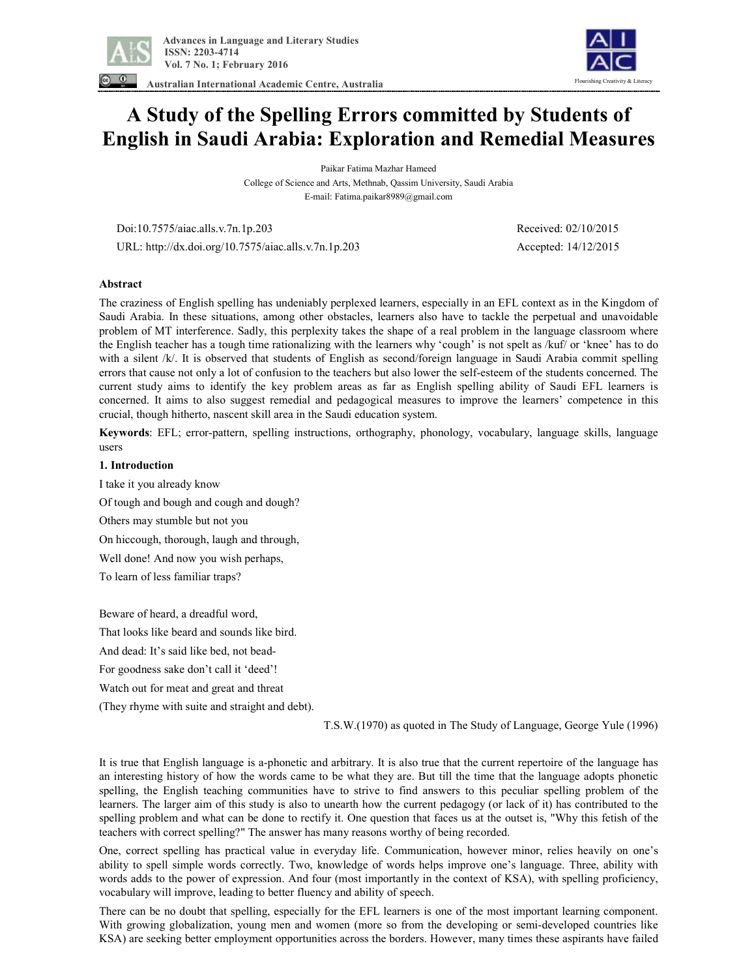

 **Australian International Academic Centre, Australia** 



# **A Study of the Spelling Errors committed by Students of English in Saudi Arabia: Exploration and Remedial Measures**

Paikar Fatima Mazhar Hameed

College of Science and Arts, Methnab, Qassim University, Saudi Arabia E-mail: Fatima.paikar8989@gmail.com

 Doi:10.7575/aiac.alls.v.7n.1p.203 Received: 02/10/2015 URL: http://dx.doi.org/10.7575/aiac.alls.v.7n.1p.203 Accepted: 14/12/2015

## **Abstract**

The craziness of English spelling has undeniably perplexed learners, especially in an EFL context as in the Kingdom of Saudi Arabia. In these situations, among other obstacles, learners also have to tackle the perpetual and unavoidable problem of MT interference. Sadly, this perplexity takes the shape of a real problem in the language classroom where the English teacher has a tough time rationalizing with the learners why 'cough' is not spelt as /kuf/ or 'knee' has to do with a silent /k/. It is observed that students of English as second/foreign language in Saudi Arabia commit spelling errors that cause not only a lot of confusion to the teachers but also lower the self-esteem of the students concerned. The current study aims to identify the key problem areas as far as English spelling ability of Saudi EFL learners is concerned. It aims to also suggest remedial and pedagogical measures to improve the learners' competence in this crucial, though hitherto, nascent skill area in the Saudi education system.

**Keywords**: EFL; error-pattern, spelling instructions, orthography, phonology, vocabulary, language skills, language users

## **1. Introduction**

I take it you already know Of tough and bough and cough and dough? Others may stumble but not you On hiccough, thorough, laugh and through, Well done! And now you wish perhaps, To learn of less familiar traps?

Beware of heard, a dreadful word, That looks like beard and sounds like bird. And dead: It's said like bed, not bead-For goodness sake don't call it 'deed'! Watch out for meat and great and threat

(They rhyme with suite and straight and debt).

T.S.W.(1970) as quoted in The Study of Language, George Yule (1996)

It is true that English language is a-phonetic and arbitrary. It is also true that the current repertoire of the language has an interesting history of how the words came to be what they are. But till the time that the language adopts phonetic spelling, the English teaching communities have to strive to find answers to this peculiar spelling problem of the learners. The larger aim of this study is also to unearth how the current pedagogy (or lack of it) has contributed to the spelling problem and what can be done to rectify it. One question that faces us at the outset is, "Why this fetish of the teachers with correct spelling?" The answer has many reasons worthy of being recorded.

One, correct spelling has practical value in everyday life. Communication, however minor, relies heavily on one's ability to spell simple words correctly. Two, knowledge of words helps improve one's language. Three, ability with words adds to the power of expression. And four (most importantly in the context of KSA), with spelling proficiency, vocabulary will improve, leading to better fluency and ability of speech.

There can be no doubt that spelling, especially for the EFL learners is one of the most important learning component. With growing globalization, young men and women (more so from the developing or semi-developed countries like KSA) are seeking better employment opportunities across the borders. However, many times these aspirants have failed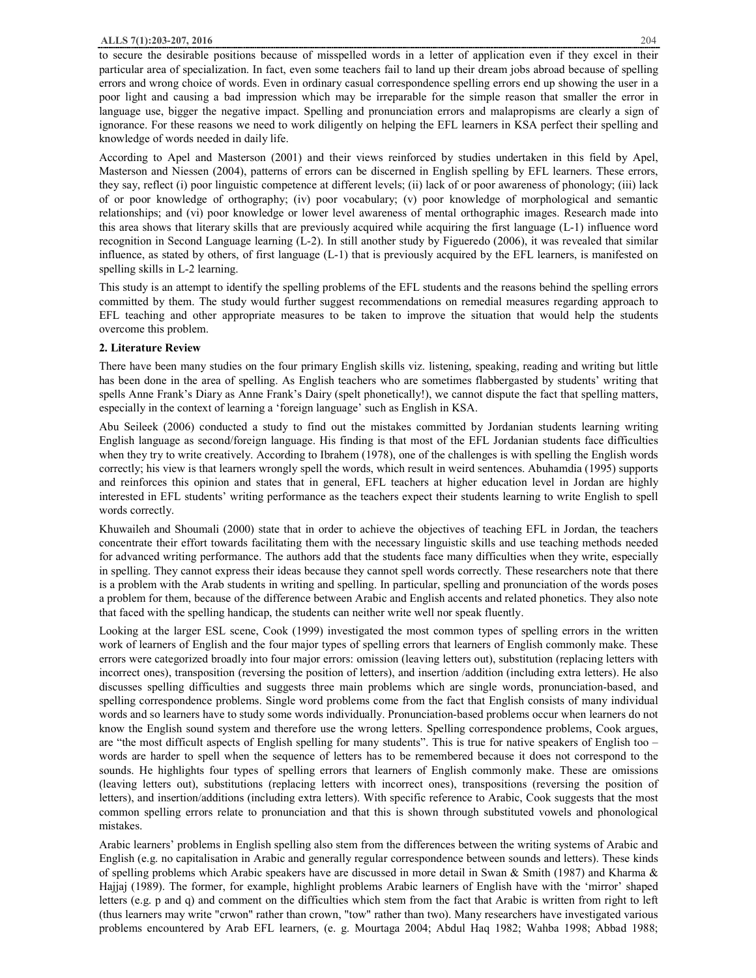to secure the desirable positions because of misspelled words in a letter of application even if they excel in their particular area of specialization. In fact, even some teachers fail to land up their dream jobs abroad because of spelling errors and wrong choice of words. Even in ordinary casual correspondence spelling errors end up showing the user in a poor light and causing a bad impression which may be irreparable for the simple reason that smaller the error in language use, bigger the negative impact. Spelling and pronunciation errors and malapropisms are clearly a sign of ignorance. For these reasons we need to work diligently on helping the EFL learners in KSA perfect their spelling and knowledge of words needed in daily life.

According to Apel and Masterson (2001) and their views reinforced by studies undertaken in this field by Apel, Masterson and Niessen (2004), patterns of errors can be discerned in English spelling by EFL learners. These errors, they say, reflect (i) poor linguistic competence at different levels; (ii) lack of or poor awareness of phonology; (iii) lack of or poor knowledge of orthography; (iv) poor vocabulary; (v) poor knowledge of morphological and semantic relationships; and (vi) poor knowledge or lower level awareness of mental orthographic images. Research made into this area shows that literary skills that are previously acquired while acquiring the first language (L-1) influence word recognition in Second Language learning (L-2). In still another study by Figueredo (2006), it was revealed that similar influence, as stated by others, of first language (L-1) that is previously acquired by the EFL learners, is manifested on spelling skills in L-2 learning.

This study is an attempt to identify the spelling problems of the EFL students and the reasons behind the spelling errors committed by them. The study would further suggest recommendations on remedial measures regarding approach to EFL teaching and other appropriate measures to be taken to improve the situation that would help the students overcome this problem.

## **2. Literature Review**

There have been many studies on the four primary English skills viz. listening, speaking, reading and writing but little has been done in the area of spelling. As English teachers who are sometimes flabbergasted by students' writing that spells Anne Frank's Diary as Anne Frank's Dairy (spelt phonetically!), we cannot dispute the fact that spelling matters, especially in the context of learning a 'foreign language' such as English in KSA.

Abu Seileek (2006) conducted a study to find out the mistakes committed by Jordanian students learning writing English language as second/foreign language. His finding is that most of the EFL Jordanian students face difficulties when they try to write creatively. According to Ibrahem (1978), one of the challenges is with spelling the English words correctly; his view is that learners wrongly spell the words, which result in weird sentences. Abuhamdia (1995) supports and reinforces this opinion and states that in general, EFL teachers at higher education level in Jordan are highly interested in EFL students' writing performance as the teachers expect their students learning to write English to spell words correctly.

Khuwaileh and Shoumali (2000) state that in order to achieve the objectives of teaching EFL in Jordan, the teachers concentrate their effort towards facilitating them with the necessary linguistic skills and use teaching methods needed for advanced writing performance. The authors add that the students face many difficulties when they write, especially in spelling. They cannot express their ideas because they cannot spell words correctly. These researchers note that there is a problem with the Arab students in writing and spelling. In particular, spelling and pronunciation of the words poses a problem for them, because of the difference between Arabic and English accents and related phonetics. They also note that faced with the spelling handicap, the students can neither write well nor speak fluently.

Looking at the larger ESL scene, Cook (1999) investigated the most common types of spelling errors in the written work of learners of English and the four major types of spelling errors that learners of English commonly make. These errors were categorized broadly into four major errors: omission (leaving letters out), substitution (replacing letters with incorrect ones), transposition (reversing the position of letters), and insertion /addition (including extra letters). He also discusses spelling difficulties and suggests three main problems which are single words, pronunciation-based, and spelling correspondence problems. Single word problems come from the fact that English consists of many individual words and so learners have to study some words individually. Pronunciation-based problems occur when learners do not know the English sound system and therefore use the wrong letters. Spelling correspondence problems, Cook argues, are "the most difficult aspects of English spelling for many students". This is true for native speakers of English too – words are harder to spell when the sequence of letters has to be remembered because it does not correspond to the sounds. He highlights four types of spelling errors that learners of English commonly make. These are omissions (leaving letters out), substitutions (replacing letters with incorrect ones), transpositions (reversing the position of letters), and insertion/additions (including extra letters). With specific reference to Arabic, Cook suggests that the most common spelling errors relate to pronunciation and that this is shown through substituted vowels and phonological mistakes.

Arabic learners' problems in English spelling also stem from the differences between the writing systems of Arabic and English (e.g. no capitalisation in Arabic and generally regular correspondence between sounds and letters). These kinds of spelling problems which Arabic speakers have are discussed in more detail in Swan & Smith (1987) and Kharma & Hajjaj (1989). The former, for example, highlight problems Arabic learners of English have with the 'mirror' shaped letters (e.g. p and q) and comment on the difficulties which stem from the fact that Arabic is written from right to left (thus learners may write "crwon" rather than crown, "tow" rather than two). Many researchers have investigated various problems encountered by Arab EFL learners, (e. g. Mourtaga 2004; Abdul Haq 1982; Wahba 1998; Abbad 1988;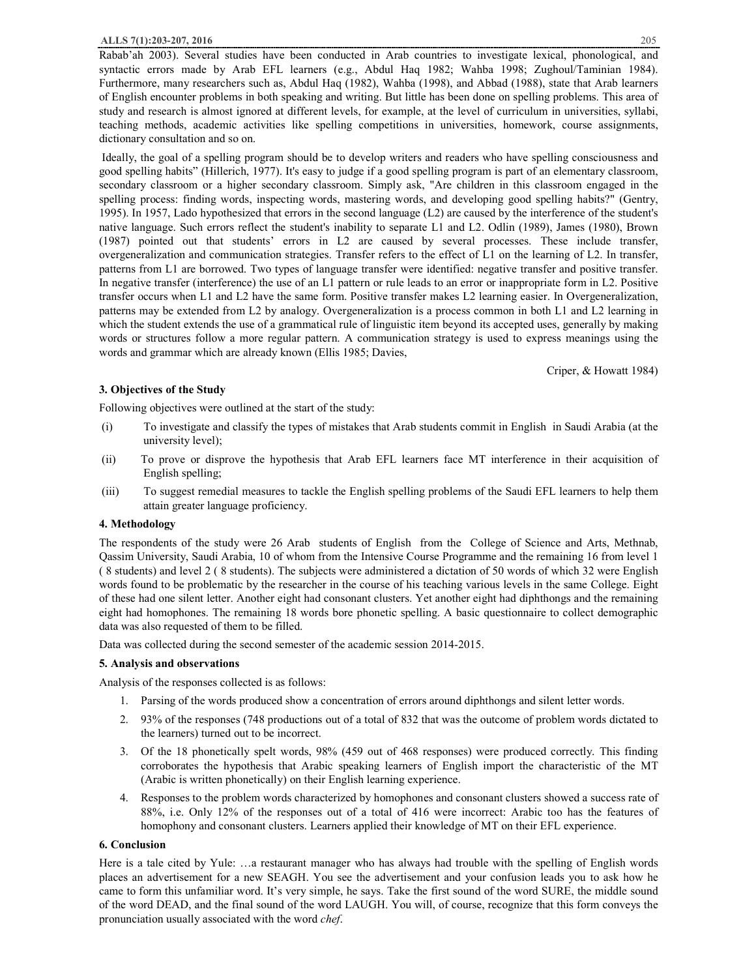#### **ALLS 7(1):203-207, 2016** 205

Rabab'ah 2003). Several studies have been conducted in Arab countries to investigate lexical, phonological, and syntactic errors made by Arab EFL learners (e.g., Abdul Haq 1982; Wahba 1998; Zughoul/Taminian 1984). Furthermore, many researchers such as, Abdul Haq (1982), Wahba (1998), and Abbad (1988), state that Arab learners of English encounter problems in both speaking and writing. But little has been done on spelling problems. This area of study and research is almost ignored at different levels, for example, at the level of curriculum in universities, syllabi, teaching methods, academic activities like spelling competitions in universities, homework, course assignments, dictionary consultation and so on.

Ideally, the goal of a spelling program should be to develop writers and readers who have spelling consciousness and good spelling habits" (Hillerich, 1977). It's easy to judge if a good spelling program is part of an elementary classroom, secondary classroom or a higher secondary classroom. Simply ask, "Are children in this classroom engaged in the spelling process: finding words, inspecting words, mastering words, and developing good spelling habits?" (Gentry, 1995). In 1957, Lado hypothesized that errors in the second language (L2) are caused by the interference of the student's native language. Such errors reflect the student's inability to separate L1 and L2. Odlin (1989), James (1980), Brown (1987) pointed out that students' errors in L2 are caused by several processes. These include transfer, overgeneralization and communication strategies. Transfer refers to the effect of L1 on the learning of L2. In transfer, patterns from L1 are borrowed. Two types of language transfer were identified: negative transfer and positive transfer. In negative transfer (interference) the use of an L1 pattern or rule leads to an error or inappropriate form in L2. Positive transfer occurs when L1 and L2 have the same form. Positive transfer makes L2 learning easier. In Overgeneralization, patterns may be extended from L2 by analogy. Overgeneralization is a process common in both L1 and L2 learning in which the student extends the use of a grammatical rule of linguistic item beyond its accepted uses, generally by making words or structures follow a more regular pattern. A communication strategy is used to express meanings using the words and grammar which are already known (Ellis 1985; Davies,

Criper, & Howatt 1984)

# **3. Objectives of the Study**

Following objectives were outlined at the start of the study:

- (i) To investigate and classify the types of mistakes that Arab students commit in English in Saudi Arabia (at the university level);
- (ii) To prove or disprove the hypothesis that Arab EFL learners face MT interference in their acquisition of English spelling;
- (iii) To suggest remedial measures to tackle the English spelling problems of the Saudi EFL learners to help them attain greater language proficiency.

## **4. Methodology**

The respondents of the study were 26 Arab students of English from the College of Science and Arts, Methnab, Qassim University, Saudi Arabia, 10 of whom from the Intensive Course Programme and the remaining 16 from level 1 ( 8 students) and level 2 ( 8 students). The subjects were administered a dictation of 50 words of which 32 were English words found to be problematic by the researcher in the course of his teaching various levels in the same College. Eight of these had one silent letter. Another eight had consonant clusters. Yet another eight had diphthongs and the remaining eight had homophones. The remaining 18 words bore phonetic spelling. A basic questionnaire to collect demographic data was also requested of them to be filled.

Data was collected during the second semester of the academic session 2014-2015.

## **5. Analysis and observations**

Analysis of the responses collected is as follows:

- 1. Parsing of the words produced show a concentration of errors around diphthongs and silent letter words.
- 2. 93% of the responses (748 productions out of a total of 832 that was the outcome of problem words dictated to the learners) turned out to be incorrect.
- 3. Of the 18 phonetically spelt words, 98% (459 out of 468 responses) were produced correctly. This finding corroborates the hypothesis that Arabic speaking learners of English import the characteristic of the MT (Arabic is written phonetically) on their English learning experience.
- 4. Responses to the problem words characterized by homophones and consonant clusters showed a success rate of 88%, i.e. Only 12% of the responses out of a total of 416 were incorrect: Arabic too has the features of homophony and consonant clusters. Learners applied their knowledge of MT on their EFL experience.

## **6. Conclusion**

Here is a tale cited by Yule: …a restaurant manager who has always had trouble with the spelling of English words places an advertisement for a new SEAGH. You see the advertisement and your confusion leads you to ask how he came to form this unfamiliar word. It's very simple, he says. Take the first sound of the word SURE, the middle sound of the word DEAD, and the final sound of the word LAUGH. You will, of course, recognize that this form conveys the pronunciation usually associated with the word *chef*.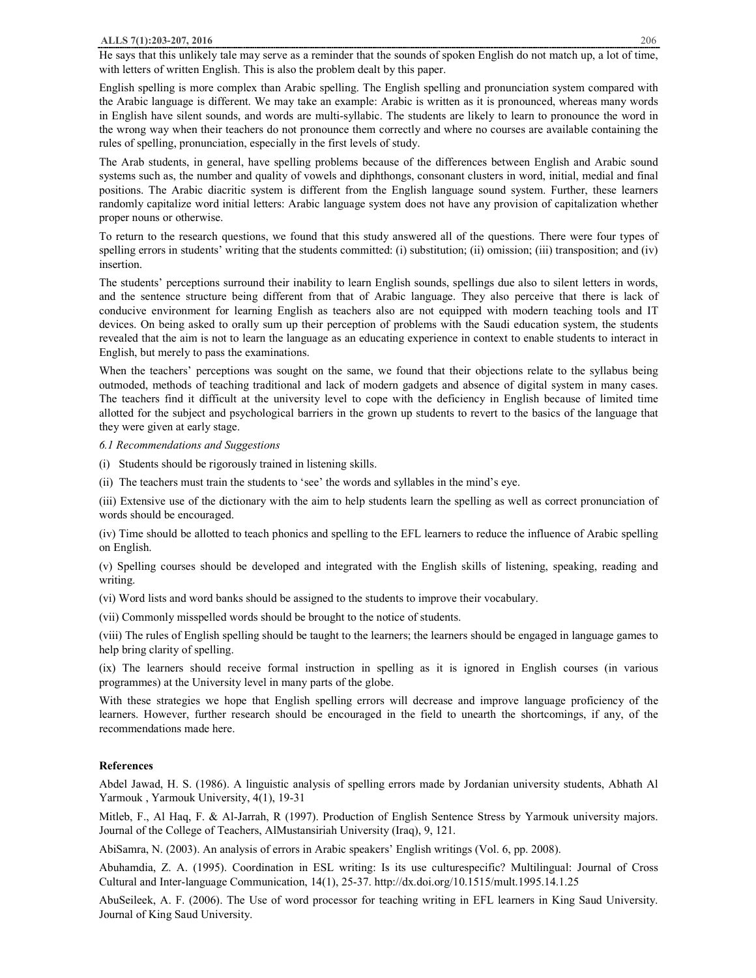#### **ALLS 7(1):203-207, 2016** 206

He says that this unlikely tale may serve as a reminder that the sounds of spoken English do not match up, a lot of time, with letters of written English. This is also the problem dealt by this paper.

English spelling is more complex than Arabic spelling. The English spelling and pronunciation system compared with the Arabic language is different. We may take an example: Arabic is written as it is pronounced, whereas many words in English have silent sounds, and words are multi-syllabic. The students are likely to learn to pronounce the word in the wrong way when their teachers do not pronounce them correctly and where no courses are available containing the rules of spelling, pronunciation, especially in the first levels of study.

The Arab students, in general, have spelling problems because of the differences between English and Arabic sound systems such as, the number and quality of vowels and diphthongs, consonant clusters in word, initial, medial and final positions. The Arabic diacritic system is different from the English language sound system. Further, these learners randomly capitalize word initial letters: Arabic language system does not have any provision of capitalization whether proper nouns or otherwise.

To return to the research questions, we found that this study answered all of the questions. There were four types of spelling errors in students' writing that the students committed: (i) substitution; (ii) omission; (iii) transposition; and (iv) insertion.

The students' perceptions surround their inability to learn English sounds, spellings due also to silent letters in words, and the sentence structure being different from that of Arabic language. They also perceive that there is lack of conducive environment for learning English as teachers also are not equipped with modern teaching tools and IT devices. On being asked to orally sum up their perception of problems with the Saudi education system, the students revealed that the aim is not to learn the language as an educating experience in context to enable students to interact in English, but merely to pass the examinations.

When the teachers' perceptions was sought on the same, we found that their objections relate to the syllabus being outmoded, methods of teaching traditional and lack of modern gadgets and absence of digital system in many cases. The teachers find it difficult at the university level to cope with the deficiency in English because of limited time allotted for the subject and psychological barriers in the grown up students to revert to the basics of the language that they were given at early stage.

*6.1 Recommendations and Suggestions* 

- (i) Students should be rigorously trained in listening skills.
- (ii) The teachers must train the students to 'see' the words and syllables in the mind's eye.

(iii) Extensive use of the dictionary with the aim to help students learn the spelling as well as correct pronunciation of words should be encouraged.

(iv) Time should be allotted to teach phonics and spelling to the EFL learners to reduce the influence of Arabic spelling on English.

(v) Spelling courses should be developed and integrated with the English skills of listening, speaking, reading and writing.

(vi) Word lists and word banks should be assigned to the students to improve their vocabulary.

(vii) Commonly misspelled words should be brought to the notice of students.

(viii) The rules of English spelling should be taught to the learners; the learners should be engaged in language games to help bring clarity of spelling.

(ix) The learners should receive formal instruction in spelling as it is ignored in English courses (in various programmes) at the University level in many parts of the globe.

With these strategies we hope that English spelling errors will decrease and improve language proficiency of the learners. However, further research should be encouraged in the field to unearth the shortcomings, if any, of the recommendations made here.

## **References**

Abdel Jawad, H. S. (1986). A linguistic analysis of spelling errors made by Jordanian university students, Abhath Al Yarmouk , Yarmouk University, 4(1), 19-31

Mitleb, F., Al Haq, F. & Al-Jarrah, R (1997). Production of English Sentence Stress by Yarmouk university majors. Journal of the College of Teachers, AlMustansiriah University (Iraq), 9, 121.

AbiSamra, N. (2003). An analysis of errors in Arabic speakers' English writings (Vol. 6, pp. 2008).

Abuhamdia, Z. A. (1995). Coordination in ESL writing: Is its use culturespecific? Multilingual: Journal of Cross Cultural and Inter-language Communication, 14(1), 25-37. http://dx.doi.org/10.1515/mult.1995.14.1.25

AbuSeileek, A. F. (2006). The Use of word processor for teaching writing in EFL learners in King Saud University. Journal of King Saud University.